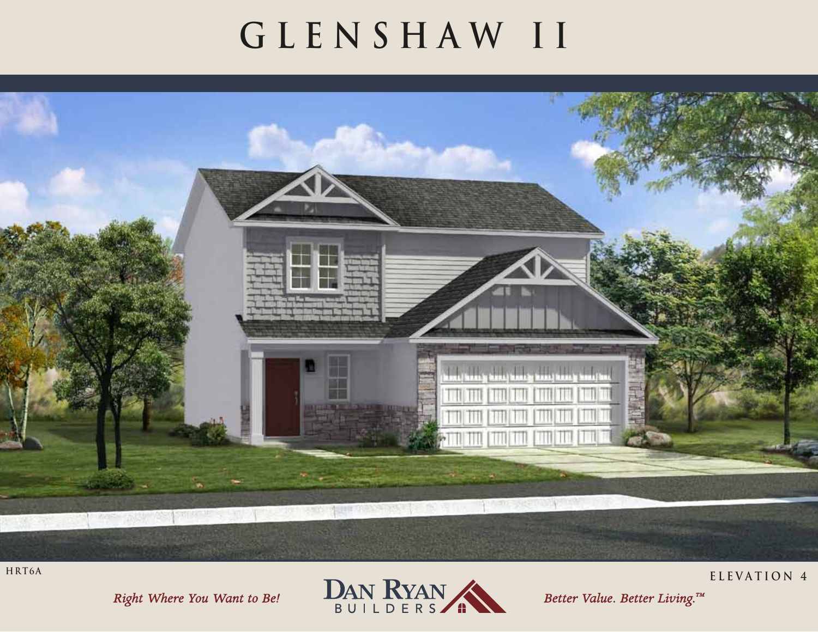## GLENSHAW II



HRT6A

Right Where You Want to Be!



Better Value. Better Living.™

ELEVATION 4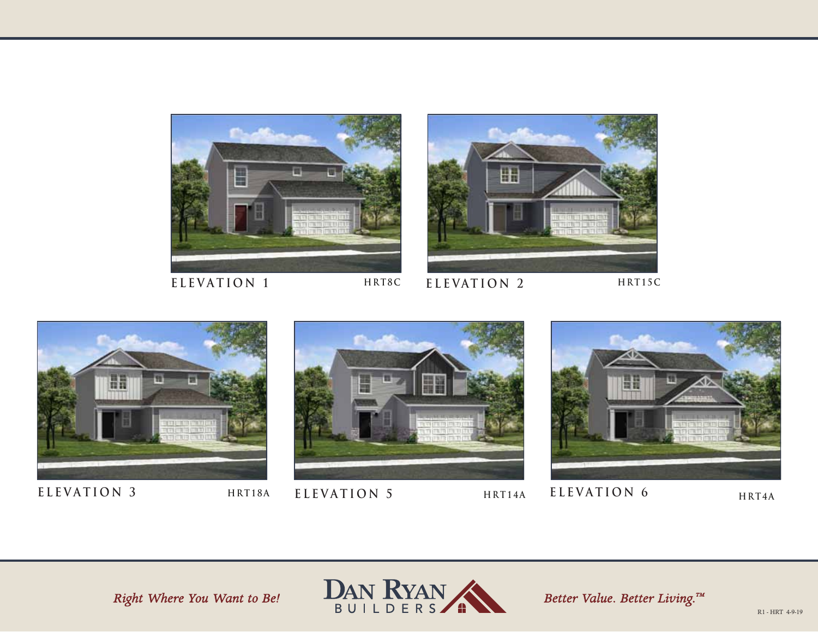



**HRT8C**

ELEVATION 1 **HRT8C ELEVATION 2** 

**HRT15C**









**ELEVATION 3 ELEVATION 5 ELEVATION 6 HRT18A HRT14A HRT4A**

Right Where You Want to Be!



Better Value. Better Living.™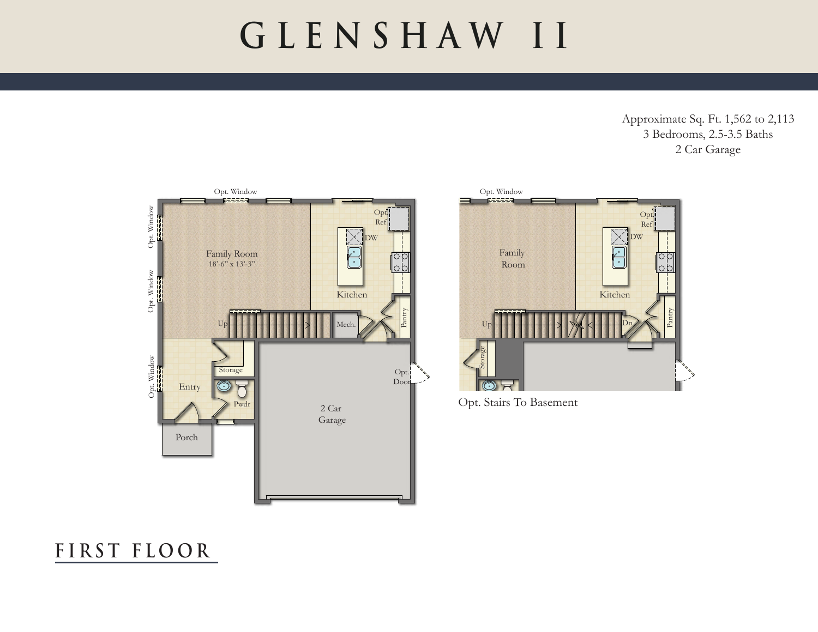### **GLENSHAW II**

Approximate Sq. Ft. 1,562 to 2,113 3 Bedrooms, 2.5-3.5 Baths 2 Car Garage





Opt. Stairs To Basement

### **F I R ST F L O O R**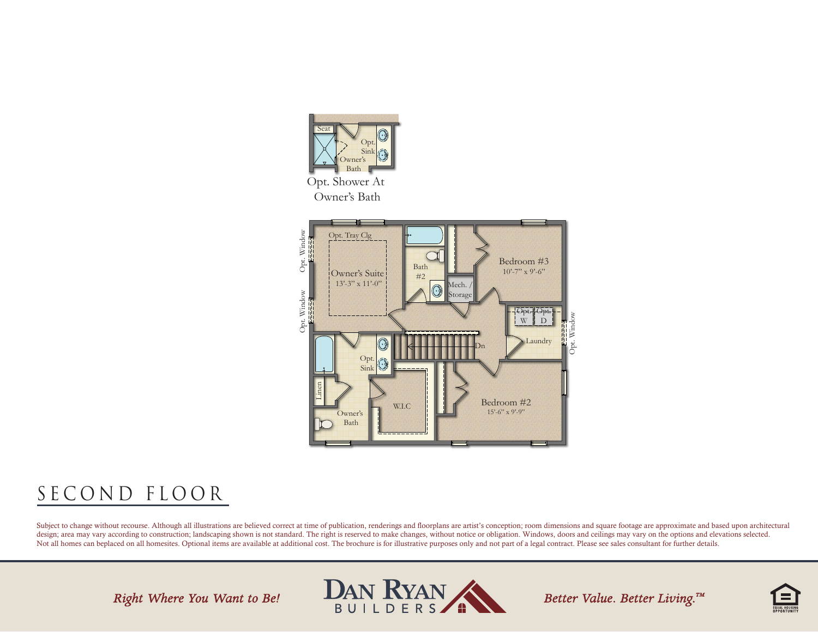

Owner's Bath



### SECOND FLOOR

Subject to change without recourse. Although all illustrations are believed correct at time of publication, renderings and floorplans are artist's conception; room dimensions and square footage are approximate and based up design; area may vary according to construction; landscaping shown is not standard. The right is reserved to make changes, without notice or obligation. Windows, doors and ceilings may vary on the options and elevations se Not all homes can beplaced on all homesites. Optional items are available at additional cost. The brochure is for illustrative purposes only and not part of a legal contract. Please see sales consultant for further details

Right Where You Want to Be!



Better Value. Better Living.™